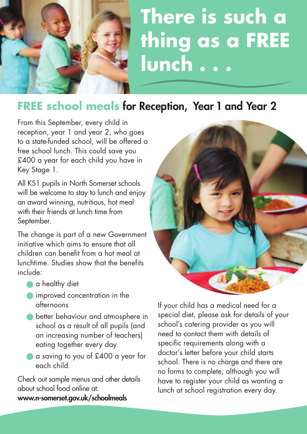

## **There is such a thing as a FREE lunch . . .**

## **FREE school meals** for Reception, Year 1 and Year 2

From this September, every child in reception, year 1 and year 2, who goes to a state-funded school, will be offered a free school lunch. This could save you £400 a year for each child you have in Key Stage 1.

All KS1 pupils in North Somerset schools will be welcome to stay to lunch and enjoy an award winning, nutritious, hot meal with their friends at lunch time from September.

The change is part of a new Government initiative which aims to ensure that all children can benefit from a hot meal at lunchtime. Studies show that the benefits include:

- **●** a healthy diet
- **•** improved concentration in the afternoons
- **•** better behaviour and atmosphere in school as a result of all pupils (and an increasing number of teachers) eating together every day.
- **●** a saving to you of £400 a year for each child.

Check out sample menus and other details about school food online at:

www.n-somerset.gov.uk/schoolmeals



If your child has a medical need for a special diet, please ask for details of your school's catering provider as you will need to contact them with details of specific requirements along with a doctor's letter before your child starts school. There is no charge and there are no forms to complete, although you will have to register your child as wanting a lunch at school registration every day.